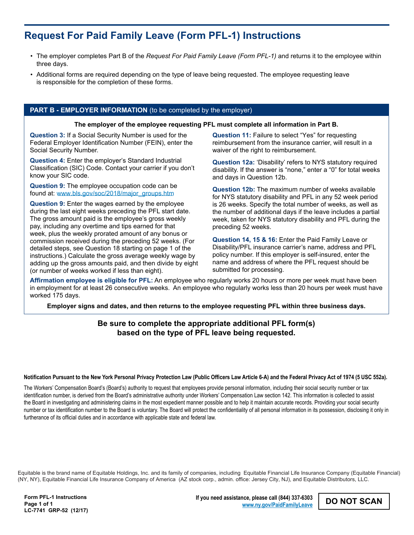# **Request For Paid Family Leave (Form PFL-1) Instructions**

- The employer completes Part B of the *Request For Paid Family Leave (Form PFL-1)* and returns it to the employee within three days.
- Additional forms are required depending on the type of leave being requested. The employee requesting leave is responsible for the completion of these forms.

## **PART B - EMPLOYER INFORMATION** (to be completed by the employer)

### **The employer of the employee requesting PFL must complete all information in Part B.**

**Question 3:** If a Social Security Number is used for the Federal Employer Identification Number (FEIN), enter the Social Security Number.

**Question 4:** Enter the employer's Standard Industrial Classification (SIC) Code. Contact your carrier if you don't know your SIC code.

**Question 9:** The employee occupation code can be found at: www.bls.gov/soc/2018/major\_groups.htm

**Question 9:** Enter the wages earned by the employee during the last eight weeks preceding the PFL start date. The gross amount paid is the employee's gross weekly pay, including any overtime and tips earned for that week, plus the weekly prorated amount of any bonus or commission received during the preceding 52 weeks. (For detailed steps, see Question 18 starting on page 1 of the instructions.) Calculate the gross average weekly wage by adding up the gross amounts paid, and then divide by eight (or number of weeks worked if less than eight).

**Question 11:** Failure to select "Yes" for requesting reimbursement from the insurance carrier, will result in a waiver of the right to reimbursement.

**Question 12a:** 'Disability' refers to NYS statutory required disability. If the answer is "none," enter a "0" for total weeks and days in Question 12b.

**Question 12b:** The maximum number of weeks available for NYS statutory disability and PFL in any 52 week period is 26 weeks. Specify the total number of weeks, as well as the number of additional days if the leave includes a partial week, taken for NYS statutory disability and PFL during the preceding 52 weeks.

**Question 14, 15 & 16:** Enter the Paid Family Leave or Disability/PFL insurance carrier's name, address and PFL policy number. If this employer is self-insured, enter the name and address of where the PFL request should be submitted for processing.

**Affirmation employee is eligible for PFL:** An employee who regularly works 20 hours or more per week must have been in employment for at least 26 consecutive weeks. An employee who regularly works less than 20 hours per week must have worked 175 days.

**Employer signs and dates, and then returns to the employee requesting PFL within three business days.**

## **Be sure to complete the appropriate additional PFL form(s) based on the type of PFL leave being requested.**

#### **Notification Pursuant to the New York Personal Privacy Protection Law (Public Officers Law Article 6-A) and the Federal Privacy Act of 1974 (5 USC 552a).**

The Workers' Compensation Board's (Board's) authority to request that employees provide personal information, including their social security number or tax identification number, is derived from the Board's administrative authority under Workers' Compensation Law section 142. This information is collected to assist the Board in investigating and administering claims in the most expedient manner possible and to help it maintain accurate records. Providing your social security number or tax identification number to the Board is voluntary. The Board will protect the confidentiality of all personal information in its possession, disclosing it only in furtherance of its official duties and in accordance with applicable state and federal law.

Equitable is the brand name of Equitable Holdings, Inc. and its family of companies, including Equitable Financial Life Insurance Company (Equitable Financial) (NY, NY), Equitable Financial Life Insurance Company of America (AZ stock corp., admin. office: Jersey City, NJ), and Equitable Distributors, LLC.

**DO NOT SCAN If you need assistance, please call (844) 337-6303 www.ny.gov/PaidFamilyLeave**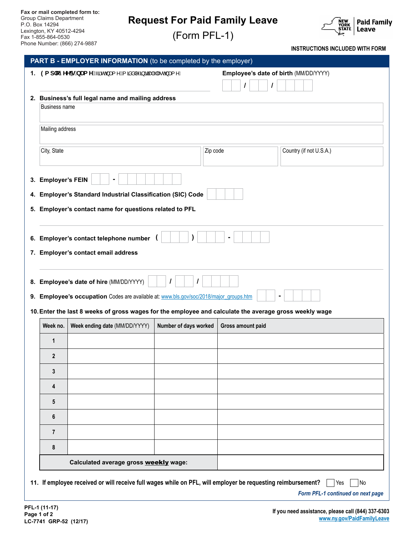## **Request For Paid Family Leave**

(Form PFL-1)



**INSTRUCTIONS INCLUDED WITH FORM**

| 1. 9 a d`cmYY Eg`b Ua Y Çã• o Âæ{^É Ă ãåå ^Á§ããæ #É Àæ e Áæ{^D<br>Employee's date of birth (MM/DD/YYYY)<br>2. Business's full legal name and mailing address<br><b>Business name</b><br>Mailing address<br>City, State<br>Country (if not U.S.A.)<br>Zip code<br>3. Employer's FEIN<br>4. Employer's Standard Industrial Classification (SIC) Code<br>5. Employer's contact name for questions related to PFL<br>6. Employer's contact telephone number (<br><sup>)</sup><br>7. Employer's contact email address<br>8. Employee's date of hire (MM/DD/YYYY)<br>9. Employee's occupation Codes are available at: www.bls.gov/soc/2018/major_groups.htm<br>10. Enter the last 8 weeks of gross wages for the employee and calculate the average gross weekly wage<br>Week ending date (MM/DD/YYYY)<br>Number of days worked<br>Week no.<br>Gross amount paid<br>1<br>$\overline{2}$<br>3<br>4<br>5<br>6<br>$\overline{7}$<br>8 |  |  |                                                                                                              |  |  |           |  |  |  |
|------------------------------------------------------------------------------------------------------------------------------------------------------------------------------------------------------------------------------------------------------------------------------------------------------------------------------------------------------------------------------------------------------------------------------------------------------------------------------------------------------------------------------------------------------------------------------------------------------------------------------------------------------------------------------------------------------------------------------------------------------------------------------------------------------------------------------------------------------------------------------------------------------------------------------|--|--|--------------------------------------------------------------------------------------------------------------|--|--|-----------|--|--|--|
|                                                                                                                                                                                                                                                                                                                                                                                                                                                                                                                                                                                                                                                                                                                                                                                                                                                                                                                              |  |  |                                                                                                              |  |  |           |  |  |  |
|                                                                                                                                                                                                                                                                                                                                                                                                                                                                                                                                                                                                                                                                                                                                                                                                                                                                                                                              |  |  |                                                                                                              |  |  |           |  |  |  |
|                                                                                                                                                                                                                                                                                                                                                                                                                                                                                                                                                                                                                                                                                                                                                                                                                                                                                                                              |  |  |                                                                                                              |  |  |           |  |  |  |
|                                                                                                                                                                                                                                                                                                                                                                                                                                                                                                                                                                                                                                                                                                                                                                                                                                                                                                                              |  |  |                                                                                                              |  |  |           |  |  |  |
|                                                                                                                                                                                                                                                                                                                                                                                                                                                                                                                                                                                                                                                                                                                                                                                                                                                                                                                              |  |  |                                                                                                              |  |  |           |  |  |  |
|                                                                                                                                                                                                                                                                                                                                                                                                                                                                                                                                                                                                                                                                                                                                                                                                                                                                                                                              |  |  |                                                                                                              |  |  |           |  |  |  |
|                                                                                                                                                                                                                                                                                                                                                                                                                                                                                                                                                                                                                                                                                                                                                                                                                                                                                                                              |  |  |                                                                                                              |  |  |           |  |  |  |
|                                                                                                                                                                                                                                                                                                                                                                                                                                                                                                                                                                                                                                                                                                                                                                                                                                                                                                                              |  |  |                                                                                                              |  |  |           |  |  |  |
|                                                                                                                                                                                                                                                                                                                                                                                                                                                                                                                                                                                                                                                                                                                                                                                                                                                                                                                              |  |  |                                                                                                              |  |  |           |  |  |  |
|                                                                                                                                                                                                                                                                                                                                                                                                                                                                                                                                                                                                                                                                                                                                                                                                                                                                                                                              |  |  |                                                                                                              |  |  |           |  |  |  |
|                                                                                                                                                                                                                                                                                                                                                                                                                                                                                                                                                                                                                                                                                                                                                                                                                                                                                                                              |  |  |                                                                                                              |  |  |           |  |  |  |
|                                                                                                                                                                                                                                                                                                                                                                                                                                                                                                                                                                                                                                                                                                                                                                                                                                                                                                                              |  |  |                                                                                                              |  |  |           |  |  |  |
|                                                                                                                                                                                                                                                                                                                                                                                                                                                                                                                                                                                                                                                                                                                                                                                                                                                                                                                              |  |  |                                                                                                              |  |  |           |  |  |  |
|                                                                                                                                                                                                                                                                                                                                                                                                                                                                                                                                                                                                                                                                                                                                                                                                                                                                                                                              |  |  |                                                                                                              |  |  |           |  |  |  |
|                                                                                                                                                                                                                                                                                                                                                                                                                                                                                                                                                                                                                                                                                                                                                                                                                                                                                                                              |  |  |                                                                                                              |  |  |           |  |  |  |
|                                                                                                                                                                                                                                                                                                                                                                                                                                                                                                                                                                                                                                                                                                                                                                                                                                                                                                                              |  |  |                                                                                                              |  |  |           |  |  |  |
|                                                                                                                                                                                                                                                                                                                                                                                                                                                                                                                                                                                                                                                                                                                                                                                                                                                                                                                              |  |  |                                                                                                              |  |  |           |  |  |  |
|                                                                                                                                                                                                                                                                                                                                                                                                                                                                                                                                                                                                                                                                                                                                                                                                                                                                                                                              |  |  |                                                                                                              |  |  |           |  |  |  |
|                                                                                                                                                                                                                                                                                                                                                                                                                                                                                                                                                                                                                                                                                                                                                                                                                                                                                                                              |  |  |                                                                                                              |  |  |           |  |  |  |
|                                                                                                                                                                                                                                                                                                                                                                                                                                                                                                                                                                                                                                                                                                                                                                                                                                                                                                                              |  |  |                                                                                                              |  |  |           |  |  |  |
|                                                                                                                                                                                                                                                                                                                                                                                                                                                                                                                                                                                                                                                                                                                                                                                                                                                                                                                              |  |  |                                                                                                              |  |  |           |  |  |  |
|                                                                                                                                                                                                                                                                                                                                                                                                                                                                                                                                                                                                                                                                                                                                                                                                                                                                                                                              |  |  |                                                                                                              |  |  |           |  |  |  |
|                                                                                                                                                                                                                                                                                                                                                                                                                                                                                                                                                                                                                                                                                                                                                                                                                                                                                                                              |  |  |                                                                                                              |  |  |           |  |  |  |
|                                                                                                                                                                                                                                                                                                                                                                                                                                                                                                                                                                                                                                                                                                                                                                                                                                                                                                                              |  |  |                                                                                                              |  |  |           |  |  |  |
| Calculated average gross weekly wage:                                                                                                                                                                                                                                                                                                                                                                                                                                                                                                                                                                                                                                                                                                                                                                                                                                                                                        |  |  |                                                                                                              |  |  |           |  |  |  |
|                                                                                                                                                                                                                                                                                                                                                                                                                                                                                                                                                                                                                                                                                                                                                                                                                                                                                                                              |  |  |                                                                                                              |  |  |           |  |  |  |
|                                                                                                                                                                                                                                                                                                                                                                                                                                                                                                                                                                                                                                                                                                                                                                                                                                                                                                                              |  |  | 11. If employee received or will receive full wages while on PFL, will employer be requesting reimbursement? |  |  | No<br>Yes |  |  |  |